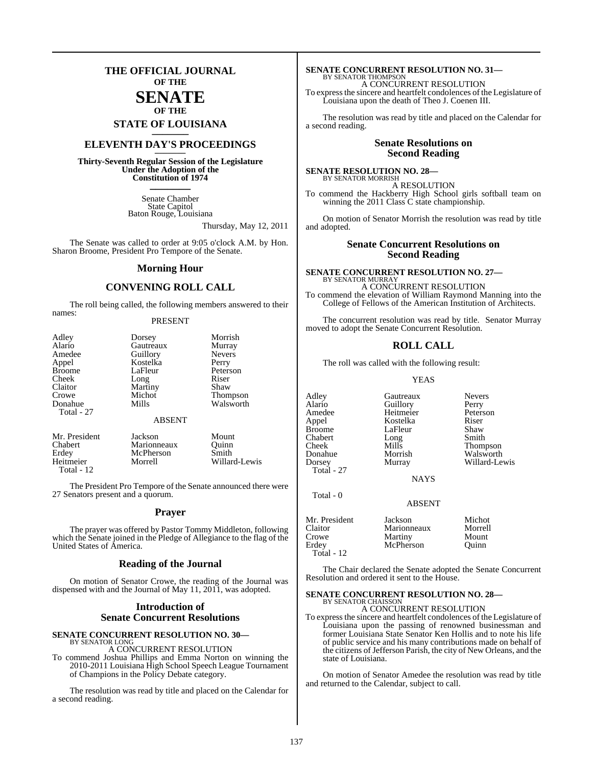### **THE OFFICIAL JOURNAL OF THE**

### **SENATE OF THE**

**STATE OF LOUISIANA \_\_\_\_\_\_\_**

### **ELEVENTH DAY'S PROCEEDINGS \_\_\_\_\_\_\_**

**Thirty-Seventh Regular Session of the Legislature Under the Adoption of the Constitution of 1974 \_\_\_\_\_\_\_**

> Senate Chamber State Capitol Baton Rouge, Louisiana

> > Thursday, May 12, 2011

The Senate was called to order at 9:05 o'clock A.M. by Hon. Sharon Broome, President Pro Tempore of the Senate.

#### **Morning Hour**

#### **CONVENING ROLL CALL**

The roll being called, the following members answered to their names:

#### PRESENT

| Adley                 | Dorsey                 | Morrish               |
|-----------------------|------------------------|-----------------------|
| Alario                | Gautreaux              | Murray                |
| Amedee                | Guillory               | <b>Nevers</b>         |
| Appel                 | Kostelka               | Perry                 |
| <b>Broome</b>         | LaFleur                | Peterson              |
| Cheek                 | Long                   | Riser                 |
| Claitor               | Martiny                | Shaw                  |
| Crowe                 | Michot                 | Thompson<br>Walsworth |
| Donahue<br>Total - 27 | Mills<br><b>ABSENT</b> |                       |
| Mr. President         | Jackson                | Mount                 |
| Chabert               | Marionneaux            | Quinn                 |
| Erdey                 | McPherson              | Smith                 |

The President Pro Tempore of the Senate announced there were 27 Senators present and a quorum.

Heitmeier Morrell Willard-Lewis

Total - 12

#### **Prayer**

The prayer was offered by Pastor Tommy Middleton, following which the Senate joined in the Pledge of Allegiance to the flag of the United States of America.

#### **Reading of the Journal**

On motion of Senator Crowe, the reading of the Journal was dispensed with and the Journal of May 11, 2011, was adopted.

### **Introduction of Senate Concurrent Resolutions**

#### **SENATE CONCURRENT RESOLUTION NO. 30—** BY SENATOR LONG

A CONCURRENT RESOLUTION

To commend Joshua Phillips and Emma Norton on winning the 2010-2011 Louisiana High School Speech League Tournament of Champions in the Policy Debate category.

The resolution was read by title and placed on the Calendar for a second reading.

### **SENATE CONCURRENT RESOLUTION NO. 31—** BY SENATOR THOMPSON

A CONCURRENT RESOLUTION To express the sincere and heartfelt condolences of the Legislature of Louisiana upon the death of Theo J. Coenen III.

The resolution was read by title and placed on the Calendar for a second reading.

#### **Senate Resolutions on Second Reading**

#### **SENATE RESOLUTION NO. 28—** BY SENATOR MORRISH

A RESOLUTION To commend the Hackberry High School girls softball team on winning the 2011 Class C state championship.

On motion of Senator Morrish the resolution was read by title and adopted.

#### **Senate Concurrent Resolutions on Second Reading**

#### **SENATE CONCURRENT RESOLUTION NO. 27—** BY SENATOR MURRA

A CONCURRENT RESOLUTION To commend the elevation of William Raymond Manning into the College of Fellows of the American Institution of Architects.

The concurrent resolution was read by title. Senator Murray moved to adopt the Senate Concurrent Resolution.

#### **ROLL CALL**

The roll was called with the following result:

YEAS

Adley Gautreaux Nevers Amedee Heitmeier Peterson<br>Appel Kostelka Riser Appel Kostelka Riser Chabert Long<br>
Cheek Mills Total - 27

Total - 0

**Guillory** LaFleur Shaw<br>Long Smith

Cheek Mills Thompson<br>
Donahue Morrish Walsworth Donahue Morrish Walsworth<br>
Dorsey Murray Willard-Le Willard-Lewis

**NAYS** 

ABSENT

| Mr. President | Jackson     | Michot  |
|---------------|-------------|---------|
| Claitor       | Marionneaux | Morrell |
| Crowe         | Martiny     | Mount   |
| Erdev         | McPherson   | Ouinn   |
| Total - $12$  |             |         |

The Chair declared the Senate adopted the Senate Concurrent Resolution and ordered it sent to the House.

#### **SENATE CONCURRENT RESOLUTION NO. 28—** BY SENATOR CHAISSON

A CONCURRENT RESOLUTION

To express the sincere and heartfelt condolences of the Legislature of Louisiana upon the passing of renowned businessman and former Louisiana State Senator Ken Hollis and to note his life of public service and his many contributions made on behalf of the citizens of Jefferson Parish, the city of New Orleans, and the state of Louisiana.

On motion of Senator Amedee the resolution was read by title and returned to the Calendar, subject to call.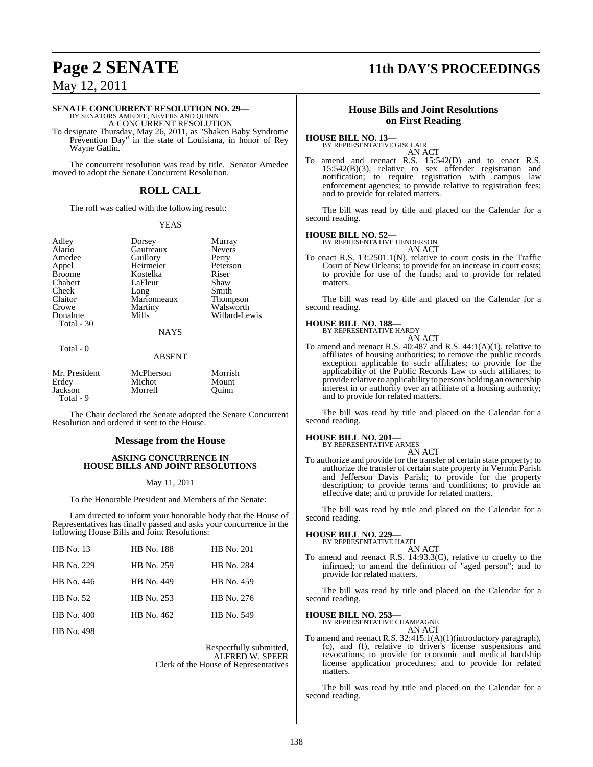### **Page 2 SENATE 11th DAY'S PROCEEDINGS**

### May 12, 2011

## **SENATE CONCURRENT RESOLUTION NO. 29—**<br>BY SENATORS AMEDEE, NEVERS AND QUINN<br>A CONCURRENT RESOLUTION

To designate Thursday, May 26, 2011, as "Shaken Baby Syndrome Prevention Day" in the state of Louisiana, in honor of Rey Wayne Gatlin.

The concurrent resolution was read by title. Senator Amedee moved to adopt the Senate Concurrent Resolution.

### **ROLL CALL**

The roll was called with the following result:

#### YEAS

Adley Dorsey Murray<br>Alario Gautreaux Nevers

Alario Gautreaux Never<br>
Amedee Guillory Perry Amedee Guillory Perry<br>Appel Heitmeier Peterson Kostelka Marionneaux<br>Martiny

Appel Heitmeier Peters<br>
Rroome Kostelka Riser Chabert LaFleur Shaw<br>Cheek Long Smith Cheek Long Smith<br>Claitor Marionneaux Thompson Crowe Martiny Walsworth<br>
Donahue Mills Willard-Le Willard-Lewis

#### **NAYS**

#### Total - 0

Total - 30

#### ABSENT

| Mr. President | McPherson | Morrish |
|---------------|-----------|---------|
| Erdey         | Michot    | Mount   |
| Jackson       | Morrell   | Ouinn   |
| Total - 9     |           |         |

The Chair declared the Senate adopted the Senate Concurrent Resolution and ordered it sent to the House.

#### **Message from the House**

#### **ASKING CONCURRENCE IN HOUSE BILLS AND JOINT RESOLUTIONS**

#### May 11, 2011

To the Honorable President and Members of the Senate:

I am directed to inform your honorable body that the House of Representatives has finally passed and asks your concurrence in the following House Bills and Joint Resolutions:

| <b>HB</b> No. 13  | HB No. 188 | HB No. 201 |
|-------------------|------------|------------|
| HB No. 229        | HB No. 259 | HB No. 284 |
| HB No. 446        | HB No. 449 | HB No. 459 |
| HB No. 52         | HB No. 253 | HB No. 276 |
| HB No. 400        | HB No. 462 | HB No. 549 |
| <b>HB</b> No. 498 |            |            |

Respectfully submitted, ALFRED W. SPEER Clerk of the House of Representatives

#### **House Bills and Joint Resolutions on First Reading**

#### **HOUSE BILL NO. 13—**

BY REPRESENTATIVE GISCLAIR AN ACT

To amend and reenact R.S. 15:542(D) and to enact R.S. 15:542(B)(3), relative to sex offender registration and notification; to require registration with campus law enforcement agencies; to provide relative to registration fees; and to provide for related matters.

The bill was read by title and placed on the Calendar for a second reading.

#### **HOUSE BILL NO. 52—**

BY REPRESENTATIVE HENDERSON AN ACT

To enact R.S. 13:2501.1(N), relative to court costs in the Traffic Court of New Orleans; to provide for an increase in court costs; to provide for use of the funds; and to provide for related matters.

The bill was read by title and placed on the Calendar for a second reading.

### **HOUSE BILL NO. 188—** BY REPRESENTATIVE HARDY

AN ACT

To amend and reenact R.S. 40:487 and R.S. 44:1(A)(1), relative to affiliates of housing authorities; to remove the public records exception applicable to such affiliates; to provide for the applicability of the Public Records Law to such affiliates; to provide relative to applicability to persons holding an ownership interest in or authority over an affiliate of a housing authority; and to provide for related matters.

The bill was read by title and placed on the Calendar for a second reading.

### **HOUSE BILL NO. 201—** BY REPRESENTATIVE ARMES

AN ACT

To authorize and provide for the transfer of certain state property; to authorize the transfer of certain state property in Vernon Parish and Jefferson Davis Parish; to provide for the property description; to provide terms and conditions; to provide an effective date; and to provide for related matters.

The bill was read by title and placed on the Calendar for a second reading.

#### **HOUSE BILL NO. 229—**

BY REPRESENTATIVE HAZEL AN ACT

To amend and reenact R.S. 14:93.3(C), relative to cruelty to the infirmed; to amend the definition of "aged person"; and to provide for related matters.

The bill was read by title and placed on the Calendar for a second reading.

### **HOUSE BILL NO. 253—** BY REPRESENTATIVE CHAMPAGNE

AN ACT

To amend and reenact R.S. 32:415.1(A)(1)(introductory paragraph), (c), and (f), relative to driver's license suspensions and revocations; to provide for economic and medical hardship license application procedures; and to provide for related matters.

The bill was read by title and placed on the Calendar for a second reading.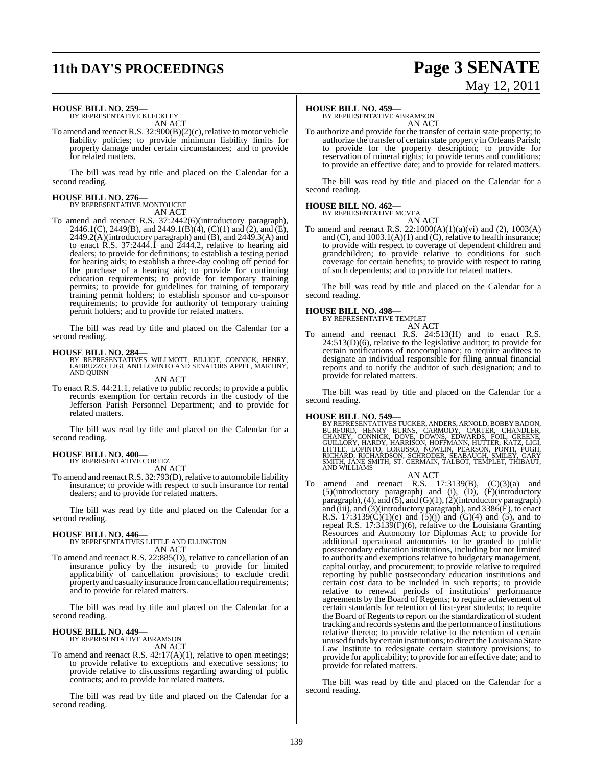## **11th DAY'S PROCEEDINGS Page 3 SENATE**

# May 12, 2011

#### **HOUSE BILL NO. 259—**

BY REPRESENTATIVE KLECKLEY AN ACT

To amend and reenact R.S. 32:900(B)(2)(c), relative to motor vehicle liability policies; to provide minimum liability limits for property damage under certain circumstances; and to provide for related matters.

The bill was read by title and placed on the Calendar for a second reading.

### **HOUSE BILL NO. 276—** BY REPRESENTATIVE MONTOUCET

AN ACT To amend and reenact R.S. 37:2442(6)(introductory paragraph), 2446.1(C), 2449(B), and 2449.1(B)(4), (C)(1) and (2), and (E), 2449.2(A)(introductory paragraph) and (B), and 2449.3(A) and to enact R.S. 37:2444.1 and 2444.2, relative to hearing aid dealers; to provide for definitions; to establish a testing period for hearing aids; to establish a three-day cooling off period for the purchase of a hearing aid; to provide for continuing education requirements; to provide for temporary training permits; to provide for guidelines for training of temporary training permit holders; to establish sponsor and co-sponsor requirements; to provide for authority of temporary training permit holders; and to provide for related matters.

The bill was read by title and placed on the Calendar for a second reading.

**HOUSE BILL NO. 284—** BY REPRESENTATIVES WILLMOTT, BILLIOT, CONNICK, HENRY, LABRUZZO, LIGI, AND LOPINTO AND SENATORS APPEL, MARTINY, AND QUINN

AN ACT

To enact R.S. 44:21.1, relative to public records; to provide a public records exemption for certain records in the custody of the Jefferson Parish Personnel Department; and to provide for related matters.

The bill was read by title and placed on the Calendar for a second reading.

#### **HOUSE BILL NO. 400—**

BY REPRESENTATIVE CORTEZ AN ACT

To amend and reenact R.S. 32:793(D), relative to automobile liability insurance; to provide with respect to such insurance for rental dealers; and to provide for related matters.

The bill was read by title and placed on the Calendar for a second reading.

#### **HOUSE BILL NO. 446—**

BY REPRESENTATIVES LITTLE AND ELLINGTON

- AN ACT
- To amend and reenact R.S. 22:885(D), relative to cancellation of an insurance policy by the insured; to provide for limited applicability of cancellation provisions; to exclude credit property and casualty insurance from cancellation requirements; and to provide for related matters.

The bill was read by title and placed on the Calendar for a second reading.

#### **HOUSE BILL NO. 449—**

BY REPRESENTATIVE ABRAMSON AN ACT

To amend and reenact R.S. 42:17(A)(1), relative to open meetings; to provide relative to exceptions and executive sessions; to provide relative to discussions regarding awarding of public contracts; and to provide for related matters.

The bill was read by title and placed on the Calendar for a second reading.

#### **HOUSE BILL NO. 459—**

BY REPRESENTATIVE ABRAMSON AN ACT

To authorize and provide for the transfer of certain state property; to authorize the transfer of certain state property in Orleans Parish; to provide for the property description; to provide for reservation of mineral rights; to provide terms and conditions; to provide an effective date; and to provide for related matters.

The bill was read by title and placed on the Calendar for a second reading.

### **HOUSE BILL NO. 462—**

BY REPRESENTATIVE MCVEA

AN ACT To amend and reenact R.S.  $22:1000(A)(1)(a)(vi)$  and (2),  $1003(A)$ and  $(C)$ , and  $1003.1(A)(1)$  and  $(\dot{C})$ , relative to health insurance; to provide with respect to coverage of dependent children and grandchildren; to provide relative to conditions for such coverage for certain benefits; to provide with respect to rating of such dependents; and to provide for related matters.

The bill was read by title and placed on the Calendar for a second reading.

#### **HOUSE BILL NO. 498—**



To amend and reenact R.S. 24:513(H) and to enact R.S. 24:513(D)(6), relative to the legislative auditor; to provide for certain notifications of noncompliance; to require auditees to designate an individual responsible for filing annual financial reports and to notify the auditor of such designation; and to provide for related matters.

The bill was read by title and placed on the Calendar for a second reading.

#### **HOUSE BILL NO. 549—**

BY REPRESENTATIVES TUCKER, ANDERS, ARNOLD, BOBBY BADON,<br>BURFORD, HENRY BURNS, CARMODY, CARTER, CHANDLER,<br>CHANEY, CONNICK, DOVE, DOWNS, EDWARDS, FOIL, GREENE,<br>GUILLORY, HARDY, HARRISON, HOFFMANN, HUTTER, KATZ, LIGI,<br>LITTLE, AND WILLIAMS

AN ACT To amend and reenact R.S.  $17:3139(B)$ ,  $(C)(3)(a)$  and (5)(introductory paragraph) and (i), (D), (F)(introductory paragraph),(4), and (5), and (G)(1),(2)(introductory paragraph) and (iii), and (3)(introductory paragraph), and 3386(E), to enact R.S. 17:3139 $(C)(1)(e)$  and  $(5)(j)$  and  $(G)(4)$  and  $(5)$ , and to repeal R.S. 17:3139(F)(6), relative to the Louisiana Granting Resources and Autonomy for Diplomas Act; to provide for additional operational autonomies to be granted to public postsecondary education institutions, including but not limited to authority and exemptions relative to budgetary management, capital outlay, and procurement; to provide relative to required reporting by public postsecondary education institutions and certain cost data to be included in such reports; to provide relative to renewal periods of institutions' performance agreements by the Board of Regents; to require achievement of certain standards for retention of first-year students; to require the Board of Regents to report on the standardization of student tracking and records systems and the performance of institutions relative thereto; to provide relative to the retention of certain unused funds by certain institutions; to direct the Louisiana State Law Institute to redesignate certain statutory provisions; to provide for applicability; to provide for an effective date; and to provide for related matters.

The bill was read by title and placed on the Calendar for a second reading.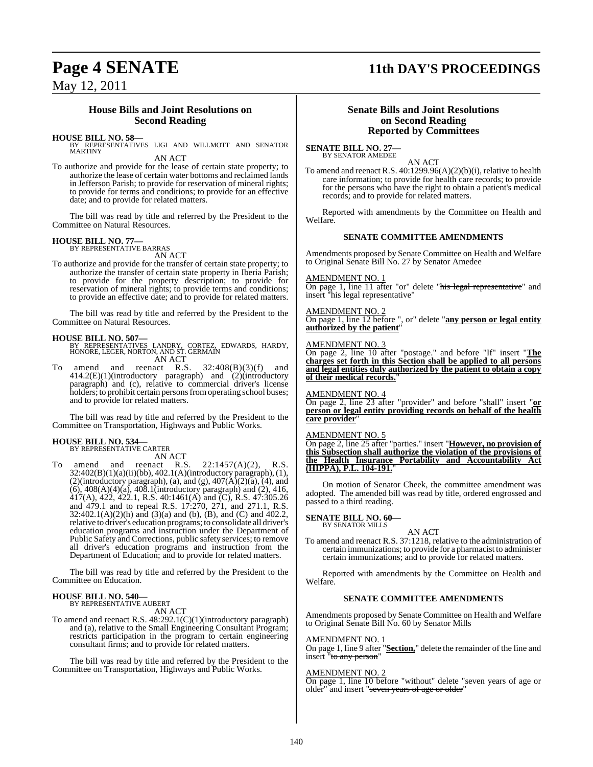### **Page 4 SENATE 11th DAY'S PROCEEDINGS**

May 12, 2011

#### **House Bills and Joint Resolutions on Second Reading**

#### **HOUSE BILL NO. 58—**

BY REPRESENTATIVES LIGI AND WILLMOTT AND SENATOR MARTINY AN ACT

To authorize and provide for the lease of certain state property; to authorize the lease of certain water bottoms and reclaimed lands in Jefferson Parish; to provide for reservation of mineral rights; to provide for terms and conditions; to provide for an effective date; and to provide for related matters.

The bill was read by title and referred by the President to the Committee on Natural Resources.

### **HOUSE BILL NO. 77—** BY REPRESENTATIVE BARRAS

AN ACT

To authorize and provide for the transfer of certain state property; to authorize the transfer of certain state property in Iberia Parish; to provide for the property description; to provide for reservation of mineral rights; to provide terms and conditions; to provide an effective date; and to provide for related matters.

The bill was read by title and referred by the President to the Committee on Natural Resources.

#### **HOUSE BILL NO. 507—**

BY REPRESENTATIVES LANDRY, CORTEZ, EDWARDS, HARDY, HONORE, LEGER, NORTON, AND ST. GERMAIN AN ACT

To amend and reenact R.S. 32:408(B)(3)(f) and 414.2(E)(1)(introductory paragraph) and (2)(introductory paragraph) and (c), relative to commercial driver's license holders; to prohibit certain persons from operating school buses; and to provide for related matters.

The bill was read by title and referred by the President to the Committee on Transportation, Highways and Public Works.

#### **HOUSE BILL NO. 534—** BY REPRESENTATIVE CARTER

AN ACT

To amend and reenact R.S.  $22:1457(A)(2)$ , R.S. 32:402(B)(1)(a)(ii)(bb), 402.1(A)(introductory paragraph), (1),  $(2)$ (introductory paragraph), (a), and (g),  $407(A)(2)(a)$ ,  $(4)$ , and (6), 408(A)(4)(a), 408.1(introductory paragraph) and (2), 416, 417(A), 422, 422.1, R.S. 40:1461(A) and (C), R.S. 47:305.26 and 479.1 and to repeal R.S. 17:270, 271, and 271.1, R.S.  $32:402.1(A)(2)(h)$  and  $(3)(a)$  and  $(b)$ ,  $(B)$ , and  $(C)$  and  $402.2$ , relative to driver's education programs; to consolidate all driver's education programs and instruction under the Department of Public Safety and Corrections, public safety services; to remove all driver's education programs and instruction from the Department of Education; and to provide for related matters.

The bill was read by title and referred by the President to the Committee on Education.

### **HOUSE BILL NO. 540—** BY REPRESENTATIVE AUBERT

AN ACT

To amend and reenact R.S. 48:292.1(C)(1)(introductory paragraph) and (a), relative to the Small Engineering Consultant Program; restricts participation in the program to certain engineering consultant firms; and to provide for related matters.

The bill was read by title and referred by the President to the Committee on Transportation, Highways and Public Works.

#### **Senate Bills and Joint Resolutions on Second Reading Reported by Committees**

**SENATE BILL NO. 27—** BY SENATOR AMEDEE

AN ACT

To amend and reenact R.S. 40:1299.96(A)(2)(b)(i), relative to health care information; to provide for health care records; to provide for the persons who have the right to obtain a patient's medical records; and to provide for related matters.

Reported with amendments by the Committee on Health and Welfare.

#### **SENATE COMMITTEE AMENDMENTS**

Amendments proposed by Senate Committee on Health and Welfare to Original Senate Bill No. 27 by Senator Amedee

#### AMENDMENT NO. 1

**COLOGET CONSTRUMED CONSTRUMED ASSESSMED TO PROPER THE 11 after "or" delete "his legal representative"** and insert "his legal representative"

#### AMENDMENT NO. 2

On page 1, line 12 before ", or" delete "**any person or legal entity authorized by the patient**"

#### AMENDMENT NO. 3

On page 2, line 10 after "postage." and before "If" insert "**The charges set forth in this Section shall be applied to all persons and legal entities duly authorized by the patient to obtain a copy of their medical records.**"

#### AMENDMENT NO. 4

On page 2, line 23 after "provider" and before "shall" insert "**or person or legal entity providing records on behalf of the health care provider**"

#### AMENDMENT NO. 5

On page 2, line 25 after "parties." insert "**However, no provision of this Subsection shall authorize the violation of the provisions of the Health Insurance Portability and Accountability Act (HIPPA), P.L. 104-191.**"

On motion of Senator Cheek, the committee amendment was adopted. The amended bill was read by title, ordered engrossed and passed to a third reading.

### **SENATE BILL NO. 60—** BY SENATOR MILLS

AN ACT

To amend and reenact R.S. 37:1218, relative to the administration of certain immunizations; to provide for a pharmacist to administer certain immunizations; and to provide for related matters.

Reported with amendments by the Committee on Health and Welfare.

#### **SENATE COMMITTEE AMENDMENTS**

Amendments proposed by Senate Committee on Health and Welfare to Original Senate Bill No. 60 by Senator Mills

#### AMENDMENT NO. 1

On page 1, line 9 after "**Section,**" delete the remainder of the line and insert "to any person"

### AMENDMENT NO. 2

On page 1, line 10 before "without" delete "seven years of age or older" and insert "seven years of age or older"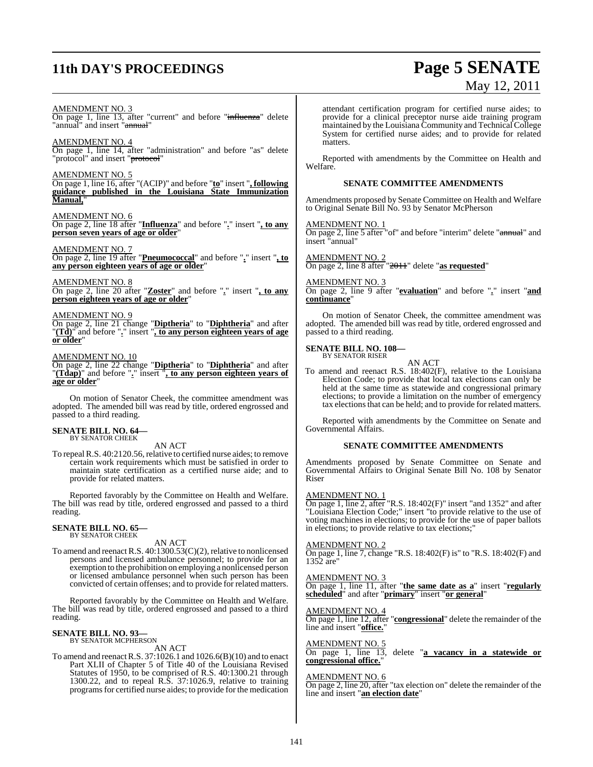## **11th DAY'S PROCEEDINGS Page 5 SENATE**

# May 12, 2011

AMENDMENT NO. 3

On page 1, line 13, after "current" and before "influenza" delete "annual" and insert "annual"

AMENDMENT NO. 4 On page 1, line 14, after "administration" and before "as" delete "protocol" and insert "<del>protocol</del>"

AMENDMENT NO. 5

On page 1, line 16, after "(ACIP)" and before "**to**" insert "**, following guidance published in the Louisiana State Immunization Manual,**"

AMENDMENT NO. 6 On page 2, line 18 after "**Influenza**" and before "**.**" insert "**, to any person seven years of age or older**"

AMENDMENT NO. 7 On page 2, line 19 after "**Pneumococcal**" and before "**.**" insert "**, to any person eighteen years of age or older**"

AMENDMENT NO. 8 On page 2, line 20 after "**Zoster**" and before "**.**" insert "**, to any person eighteen years of age or older**"

AMENDMENT NO. 9

On page 2, line 21 change "**Diptheria**" to "**Diphtheria**" and after "**(Td)**" and before "**.**" insert "**, to any person eighteen years of age or older**"

#### AMENDMENT NO. 10

On page 2, line 22 change "**Diptheria**" to "**Diphtheria**" and after "**(Tdap)**" and before "**.**" insert "**, to any person eighteen years of age or older**"

On motion of Senator Cheek, the committee amendment was adopted. The amended bill was read by title, ordered engrossed and passed to a third reading.

#### **SENATE BILL NO. 64—** BY SENATOR CHEEK

AN ACT

To repeal R.S. 40:2120.56, relative to certified nurse aides; to remove certain work requirements which must be satisfied in order to maintain state certification as a certified nurse aide; and to provide for related matters.

Reported favorably by the Committee on Health and Welfare. The bill was read by title, ordered engrossed and passed to a third reading.

#### **SENATE BILL NO. 65—** BY SENATOR CHEEK

AN ACT

To amend and reenact R.S. 40:1300.53(C)(2), relative to nonlicensed persons and licensed ambulance personnel; to provide for an exemption to the prohibition on employing a nonlicensed person or licensed ambulance personnel when such person has been convicted of certain offenses; and to provide for related matters.

Reported favorably by the Committee on Health and Welfare. The bill was read by title, ordered engrossed and passed to a third reading.

#### **SENATE BILL NO. 93—** BY SENATOR MCPHERSON

AN ACT

To amend and reenactR.S. 37:1026.1 and 1026.6(B)(10) and to enact Part XLII of Chapter 5 of Title 40 of the Louisiana Revised Statutes of 1950, to be comprised of R.S. 40:1300.21 through 1300.22, and to repeal R.S. 37:1026.9, relative to training programs for certified nurse aides; to provide for the medication

attendant certification program for certified nurse aides; to provide for a clinical preceptor nurse aide training program maintained by the Louisiana Community and Technical College System for certified nurse aides; and to provide for related matters.

Reported with amendments by the Committee on Health and Welfare.

#### **SENATE COMMITTEE AMENDMENTS**

Amendments proposed by Senate Committee on Health and Welfare to Original Senate Bill No. 93 by Senator McPherson

AMENDMENT NO. 1

On page 2, line 5 after "of" and before "interim" delete "annual" and insert "annual"

#### AMENDMENT NO. 2

On page 2, line 8 after "2011" delete "**as requested**"

#### AMENDMENT NO. 3

On page 2, line 9 after "**evaluation**" and before "**.**" insert "**and continuance**"

On motion of Senator Cheek, the committee amendment was adopted. The amended bill was read by title, ordered engrossed and passed to a third reading.

### **SENATE BILL NO. 108—** BY SENATOR RISER

AN ACT

To amend and reenact R.S. 18:402(F), relative to the Louisiana Election Code; to provide that local tax elections can only be held at the same time as statewide and congressional primary elections; to provide a limitation on the number of emergency tax elections that can be held; and to provide for related matters.

Reported with amendments by the Committee on Senate and Governmental Affairs.

#### **SENATE COMMITTEE AMENDMENTS**

Amendments proposed by Senate Committee on Senate and Governmental Affairs to Original Senate Bill No. 108 by Senator Riser

#### AMENDMENT NO. 1

 $\overline{On}$  page 1, line 2, after "R.S. 18:402(F)" insert "and 1352" and after "Louisiana Election Code;" insert "to provide relative to the use of voting machines in elections; to provide for the use of paper ballots in elections; to provide relative to tax elections;"

#### AMENDMENT NO. 2

On page 1, line 7, change "R.S. 18:402(F) is" to "R.S. 18:402(F) and 1352 are"

#### AMENDMENT NO. 3

On page 1, line 11, after "**the same date as a**" insert "**regularly scheduled**" and after "**primary**" insert "**or general**"

#### AMENDMENT NO. 4

On page 1, line 12, after "**congressional**" delete the remainder of the line and insert "**office.**"

#### AMENDMENT NO. 5

On page 1, line 13, delete "**a vacancy in a statewide or congressional office.**"

#### AMENDMENT NO. 6

On page 2, line 20, after "tax election on" delete the remainder of the line and insert "**an election date**"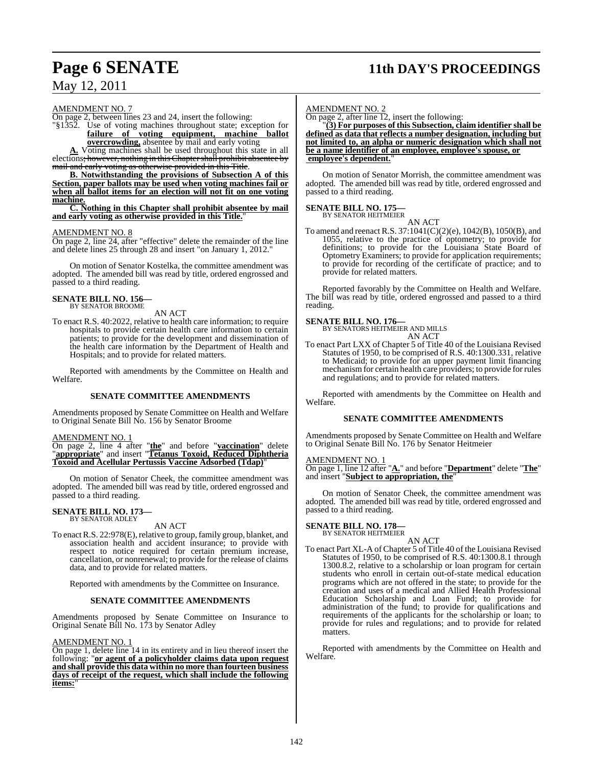### **Page 6 SENATE 11th DAY'S PROCEEDINGS**

### May 12, 2011

AMENDMENT NO. 7

On page 2, between lines 23 and 24, insert the following:

"§1352. Use of voting machines throughout state; exception for **failure of voting equipment, machine ballot overcrowding,** absentee by mail and early voting

**A.** Voting machines shall be used throughout this state in all elections<del>; however, nothing in this Chapter shall prohibit absentee by</del> mail and early voting as otherwise provided in this Title.

**B. Notwithstanding the provisions of Subsection A of this Section, paper ballots may be used when voting machines fail or when all ballot items for an election will not fit on one voting machine.**

**C. Nothing in this Chapter shall prohibit absentee by mail and early voting as otherwise provided in this Title.**"

#### AMENDMENT NO. 8

On page 2, line 24, after "effective" delete the remainder of the line and delete lines 25 through 28 and insert "on January 1, 2012."

On motion of Senator Kostelka, the committee amendment was adopted. The amended bill was read by title, ordered engrossed and passed to a third reading.

#### **SENATE BILL NO. 156—** BY SENATOR BROOME

AN ACT

To enact R.S. 40:2022, relative to health care information; to require hospitals to provide certain health care information to certain patients; to provide for the development and dissemination of the health care information by the Department of Health and Hospitals; and to provide for related matters.

Reported with amendments by the Committee on Health and Welfare.

#### **SENATE COMMITTEE AMENDMENTS**

Amendments proposed by Senate Committee on Health and Welfare to Original Senate Bill No. 156 by Senator Broome

#### AMENDMENT NO. 1

On page 2, line 4 after "**the**" and before "**vaccination**" delete "**appropriate**" and insert "**Tetanus Toxoid, Reduced Diphtheria Toxoid and Acellular Pertussis Vaccine Adsorbed (Tdap)**"

On motion of Senator Cheek, the committee amendment was adopted. The amended bill was read by title, ordered engrossed and passed to a third reading.

#### **SENATE BILL NO. 173—** BY SENATOR ADLEY

#### AN ACT

To enact R.S. 22:978(E), relative to group, family group, blanket, and association health and accident insurance; to provide with respect to notice required for certain premium increase, cancellation, or nonrenewal; to provide for the release of claims data, and to provide for related matters.

Reported with amendments by the Committee on Insurance.

#### **SENATE COMMITTEE AMENDMENTS**

Amendments proposed by Senate Committee on Insurance to Original Senate Bill No. 173 by Senator Adley

#### AMENDMENT NO. 1

On page 1, delete line 14 in its entirety and in lieu thereof insert the following: "**or agent of a policyholder claims data upon request and shall provide this data within no more than fourteen business days of receipt of the request, which shall include the following** items:

#### AMENDMENT NO. 2

On page 2, after line 12, insert the following:

"**(3) For purposes of this Subsection, claim identifier shall be defined as data that reflects a number designation, including but not limited to, an alpha or numeric designation which shall not be a name identifier of an employee, employee's spouse, or employee's dependent.**"

On motion of Senator Morrish, the committee amendment was adopted. The amended bill was read by title, ordered engrossed and passed to a third reading.

## **SENATE BILL NO. 175—** BY SENATOR HEITMEIER

AN ACT

To amend and reenact R.S. 37:1041(C)(2)(e), 1042(B), 1050(B), and 1055, relative to the practice of optometry; to provide for definitions; to provide for the Louisiana State Board of Optometry Examiners; to provide for application requirements; to provide for recording of the certificate of practice; and to provide for related matters.

Reported favorably by the Committee on Health and Welfare. The bill was read by title, ordered engrossed and passed to a third reading.

**SENATE BILL NO. 176—**<br>BY SENATORS HEITMEIER AND MILLS<br>AN ACT

To enact Part LXX of Chapter 5 of Title 40 of the Louisiana Revised Statutes of 1950, to be comprised of R.S. 40:1300.331, relative to Medicaid; to provide for an upper payment limit financing mechanismfor certain health care providers; to provide for rules and regulations; and to provide for related matters.

Reported with amendments by the Committee on Health and Welfare.

#### **SENATE COMMITTEE AMENDMENTS**

Amendments proposed by Senate Committee on Health and Welfare to Original Senate Bill No. 176 by Senator Heitmeier

#### AMENDMENT NO. 1

On page 1, line 12 after "**A.**" and before "**Department**" delete "**The**" and insert "**Subject to appropriation, the**"

On motion of Senator Cheek, the committee amendment was adopted. The amended bill was read by title, ordered engrossed and passed to a third reading.

## **SENATE BILL NO. 178—** BY SENATOR HEITMEIER

AN ACT

To enact Part XL-A of Chapter 5 of Title 40 of the Louisiana Revised Statutes of 1950, to be comprised of R.S. 40:1300.8.1 through 1300.8.2, relative to a scholarship or loan program for certain students who enroll in certain out-of-state medical education programs which are not offered in the state; to provide for the creation and uses of a medical and Allied Health Professional Education Scholarship and Loan Fund; to provide for administration of the fund; to provide for qualifications and requirements of the applicants for the scholarship or loan; to provide for rules and regulations; and to provide for related matters.

Reported with amendments by the Committee on Health and Welfare.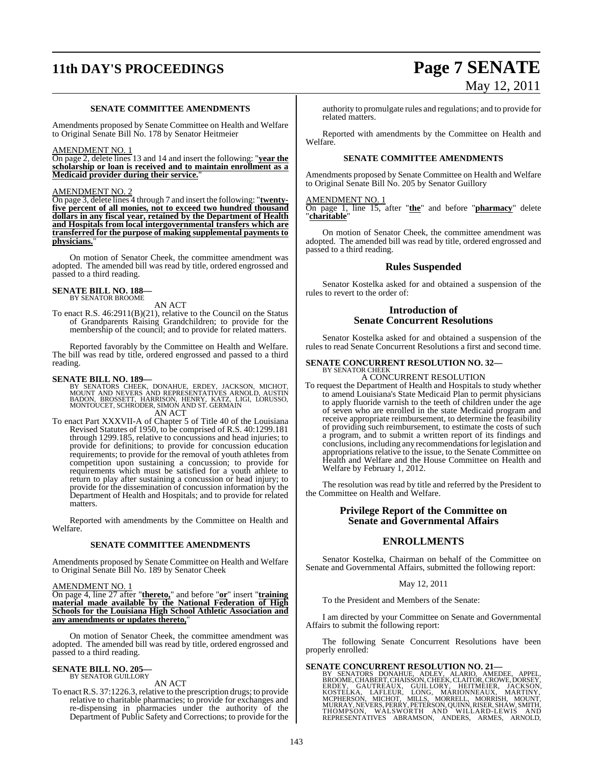## **11th DAY'S PROCEEDINGS Page 7 SENATE**

#### **SENATE COMMITTEE AMENDMENTS**

Amendments proposed by Senate Committee on Health and Welfare to Original Senate Bill No. 178 by Senator Heitmeier

#### AMENDMENT NO. 1

On page 2, delete lines 13 and 14 and insert the following: "**year the scholarship or loan is received and to maintain enrollment as a Medicaid provider during their service.**"

#### AMENDMENT NO. 2

On page 3, delete lines 4 through 7 and insert the following: "**twentyfive percent of all monies, not to exceed two hundred thousand dollars in any fiscal year, retained by the Department of Health and Hospitals from local intergovernmental transfers which are transferred for the purpose of making supplemental payments to physicians.**"

On motion of Senator Cheek, the committee amendment was adopted. The amended bill was read by title, ordered engrossed and passed to a third reading.

#### **SENATE BILL NO. 188—** BY SENATOR BROOME

AN ACT

To enact R.S. 46:2911(B)(21), relative to the Council on the Status of Grandparents Raising Grandchildren; to provide for the membership of the council; and to provide for related matters.

Reported favorably by the Committee on Health and Welfare. The bill was read by title, ordered engrossed and passed to a third reading.

SENATE BILL NO. 189—<br>BY SENATORS CHEEK, DONAHUE, ERDEY, JACKSON, MICHOT, AND NEVERS AND REPRESENTATIVES ARNOLD, AUSTIN<br>BADON, BROSSETT, HARRISON, HENRY, KATZ, LIGI, LORUSSO,<br>MONTOUCET, SCHRODER, SIMON AND ST. GERMAIN AN ACT

To enact Part XXXVII-A of Chapter 5 of Title 40 of the Louisiana Revised Statutes of 1950, to be comprised of R.S. 40:1299.181 through 1299.185, relative to concussions and head injuries; to provide for definitions; to provide for concussion education requirements; to provide for the removal of youth athletes from competition upon sustaining a concussion; to provide for requirements which must be satisfied for a youth athlete to return to play after sustaining a concussion or head injury; to provide for the dissemination of concussion information by the Department of Health and Hospitals; and to provide for related matters.

Reported with amendments by the Committee on Health and Welfare.

#### **SENATE COMMITTEE AMENDMENTS**

Amendments proposed by Senate Committee on Health and Welfare to Original Senate Bill No. 189 by Senator Cheek

#### AMENDMENT NO. 1

On page 4, line 27 after "**thereto,**" and before "**or**" insert "**training material made available by the National Federation of High Schools for the Louisiana High School Athletic Association and any amendments or updates thereto,**"

On motion of Senator Cheek, the committee amendment was adopted. The amended bill was read by title, ordered engrossed and passed to a third reading.

### **SENATE BILL NO. 205—** BY SENATOR GUILLORY

AN ACT

To enactR.S. 37:1226.3, relative to the prescription drugs; to provide relative to charitable pharmacies; to provide for exchanges and re-dispensing in pharmacies under the authority of the Department of Public Safety and Corrections; to provide for the authority to promulgate rules and regulations; and to provide for related matters.

Reported with amendments by the Committee on Health and Welfare.

#### **SENATE COMMITTEE AMENDMENTS**

Amendments proposed by Senate Committee on Health and Welfare to Original Senate Bill No. 205 by Senator Guillory

#### AMENDMENT NO. 1

On page 1, line 15, after "**the**" and before "**pharmacy**" delete "**charitable**"

On motion of Senator Cheek, the committee amendment was adopted. The amended bill was read by title, ordered engrossed and passed to a third reading.

### **Rules Suspended**

Senator Kostelka asked for and obtained a suspension of the rules to revert to the order of:

#### **Introduction of Senate Concurrent Resolutions**

Senator Kostelka asked for and obtained a suspension of the rules to read Senate Concurrent Resolutions a first and second time.

#### **SENATE CONCURRENT RESOLUTION NO. 32—** BY SENATOR CHEEK

Welfare by February 1, 2012.

A CONCURRENT RESOLUTION To request the Department of Health and Hospitals to study whether to amend Louisiana's State Medicaid Plan to permit physicians to apply fluoride varnish to the teeth of children under the age of seven who are enrolled in the state Medicaid program and receive appropriate reimbursement, to determine the feasibility of providing such reimbursement, to estimate the costs of such a program, and to submit a written report of its findings and conclusions, including any recommendations for legislation and appropriations relative to the issue, to the Senate Committee on Health and Welfare and the House Committee on Health and

The resolution was read by title and referred by the President to the Committee on Health and Welfare.

#### **Privilege Report of the Committee on Senate and Governmental Affairs**

#### **ENROLLMENTS**

Senator Kostelka, Chairman on behalf of the Committee on Senate and Governmental Affairs, submitted the following report:

#### May 12, 2011

To the President and Members of the Senate:

I am directed by your Committee on Senate and Governmental Affairs to submit the following report:

The following Senate Concurrent Resolutions have been properly enrolled:

SENATE CONCURRENT RESOLUTION NO. 21—<br>BY SENATORS DONAHUE, ADLEY, ALARIO, AMEDEE, APPEL,<br>BROOME, CHABERT, CHAISSON, CHEEK, CLAITOR, CROWE, DORSEY,<br>ERDEY, GAUTREAUX, GUILLORY, HEITMEIER, JACKSON,<br>KOSTELKA, LAFLEUR, LONG, MAR